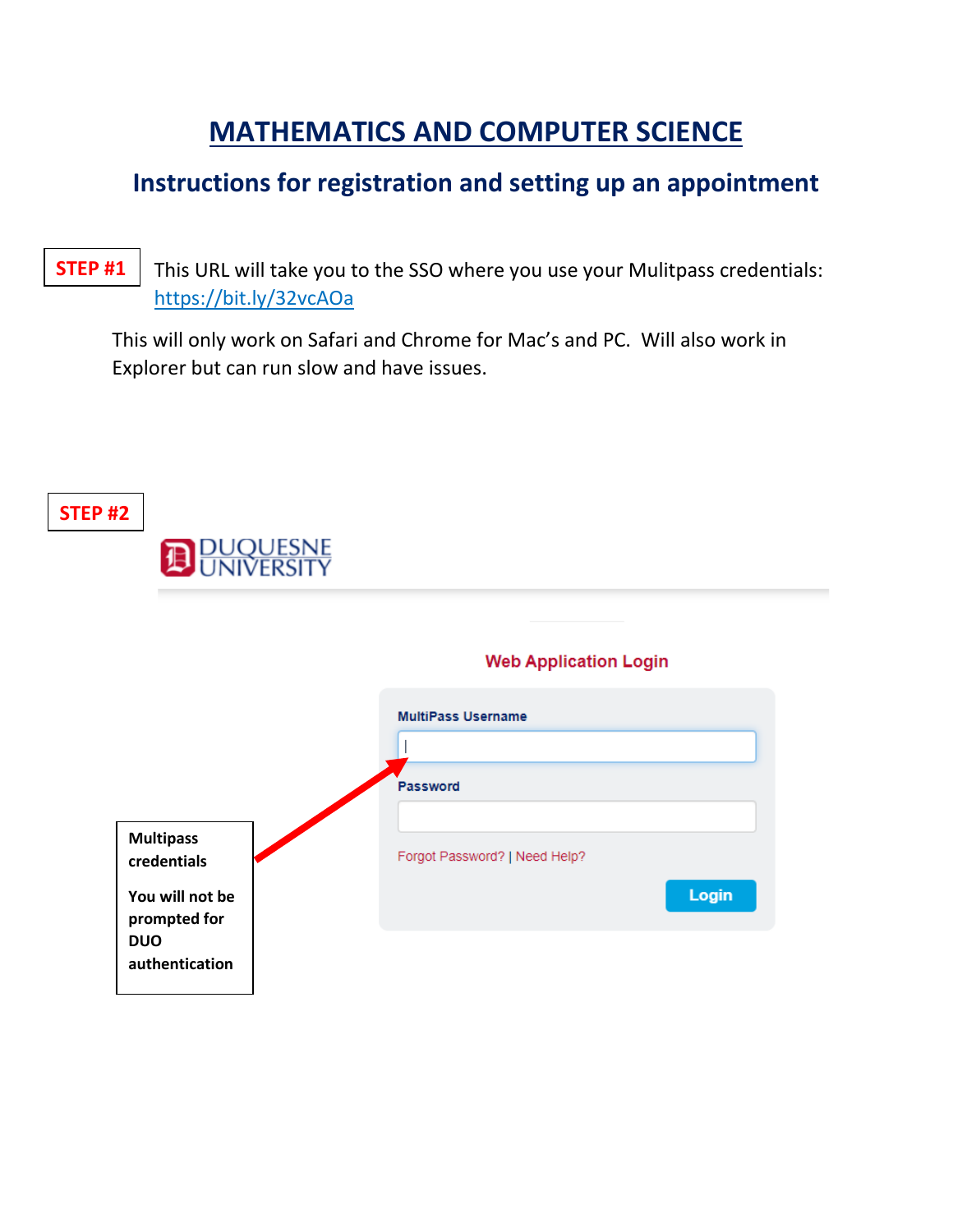# **MATHEMATICS AND COMPUTER SCIENCE**

## **Instructions for registration and setting up an appointment**

This URL will take you to the SSO where you use your Mulitpass credentials: https://bit.ly/32vcAOa **STEP #1**

This will only work on Safari and Chrome for Mac's and PC. Will also work in Explorer but can run slow and have issues.

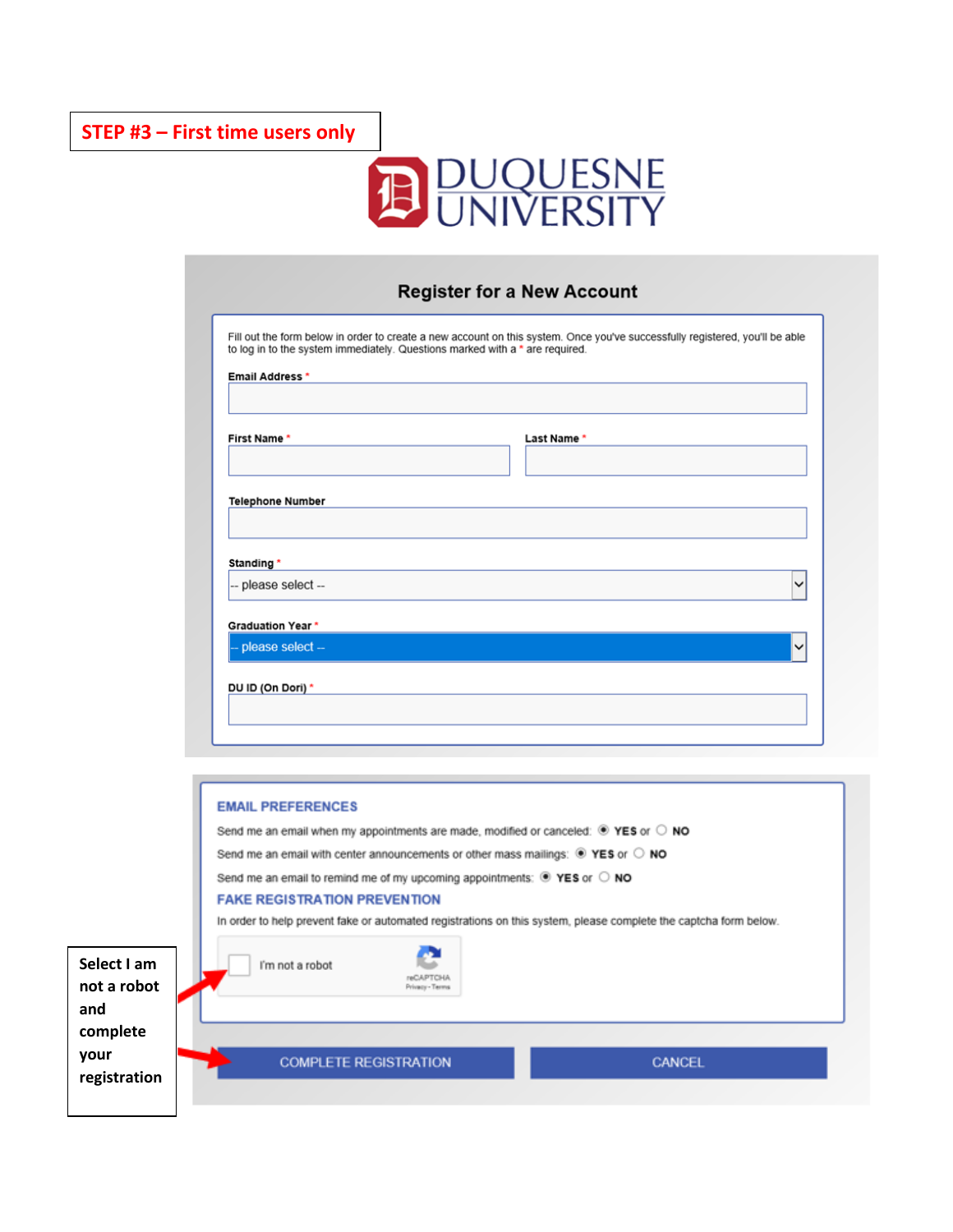

#### **Register for a New Account**

| <b>Email Address *</b>            |            |
|-----------------------------------|------------|
| First Name *                      | Last Name* |
| <b>Telephone Number</b>           |            |
|                                   |            |
|                                   |            |
| Standing *<br>-- please select -- |            |
| <b>Graduation Year *</b>          |            |

|                                               | <b>EMAIL PREFERENCES</b><br>Send me an email when my appointments are made, modified or canceled: $\bullet$ YES or $\circ$ NO<br>Send me an email with center announcements or other mass mailings: $\circledast$ YES or $\circledcirc$ NO<br>Send me an email to remind me of my upcoming appointments: $\bullet$ YES or $\circ$ NO<br><b>FAKE REGISTRATION PREVENTION</b><br>In order to help prevent fake or automated registrations on this system, please complete the captcha form below. |  |
|-----------------------------------------------|-------------------------------------------------------------------------------------------------------------------------------------------------------------------------------------------------------------------------------------------------------------------------------------------------------------------------------------------------------------------------------------------------------------------------------------------------------------------------------------------------|--|
| Select I am<br>not a robot<br>and<br>complete | I'm not a robot<br><b>INCAPTOHA</b><br>Privacy - Terms                                                                                                                                                                                                                                                                                                                                                                                                                                          |  |
| your<br>registration                          | <b>COMPLETE REGISTRATION</b><br>CANCEL                                                                                                                                                                                                                                                                                                                                                                                                                                                          |  |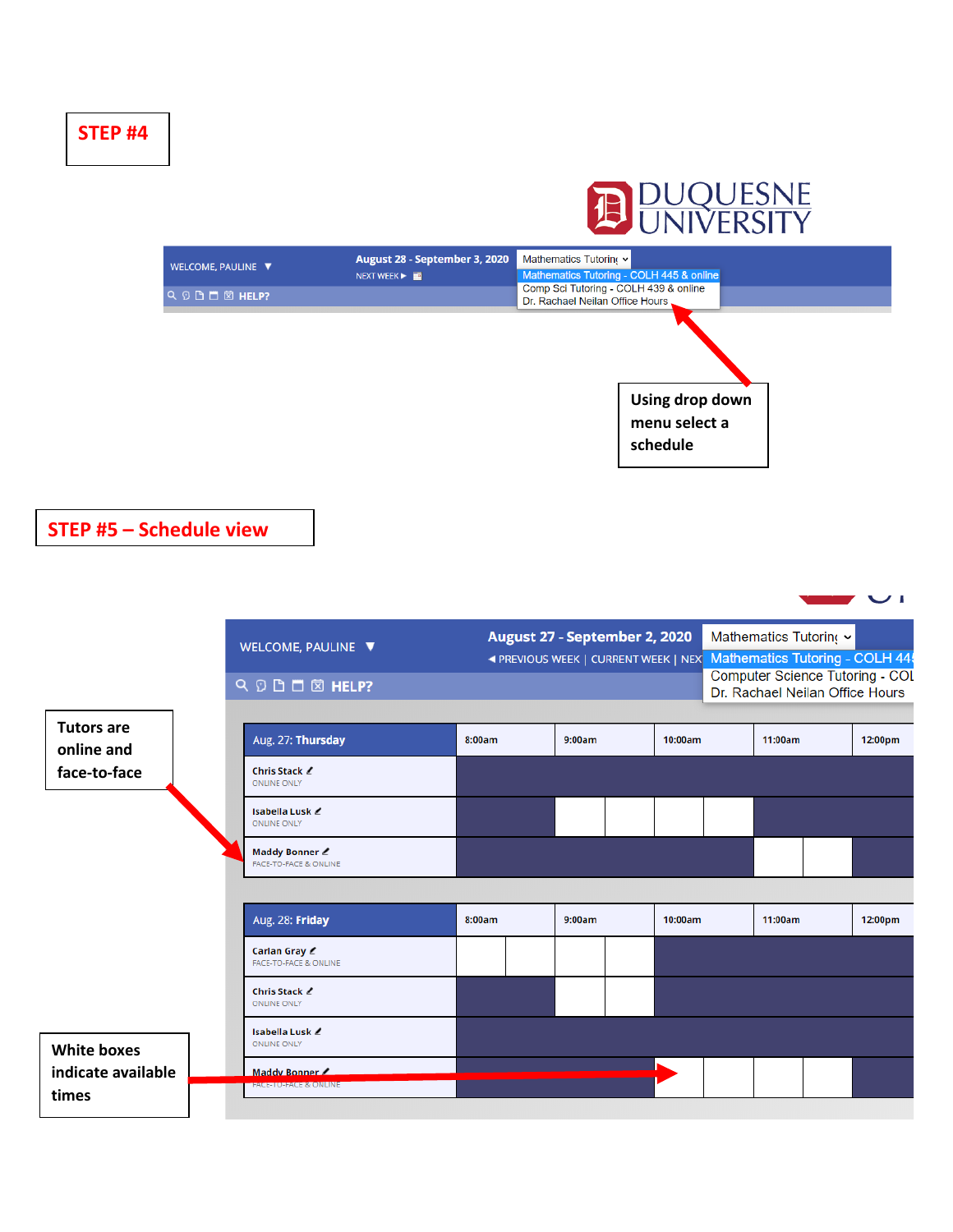



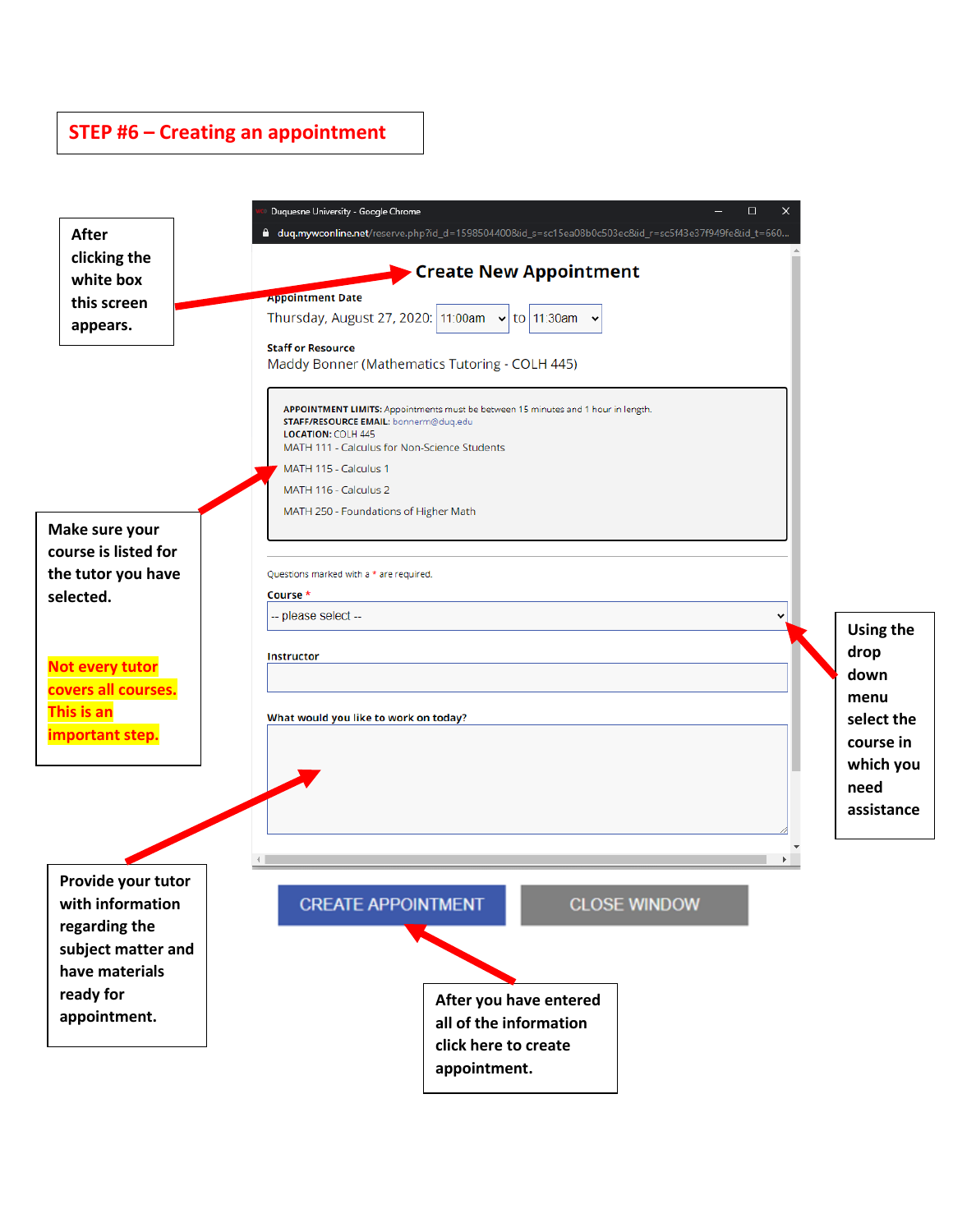### **STEP #6 – Creating an appointment**